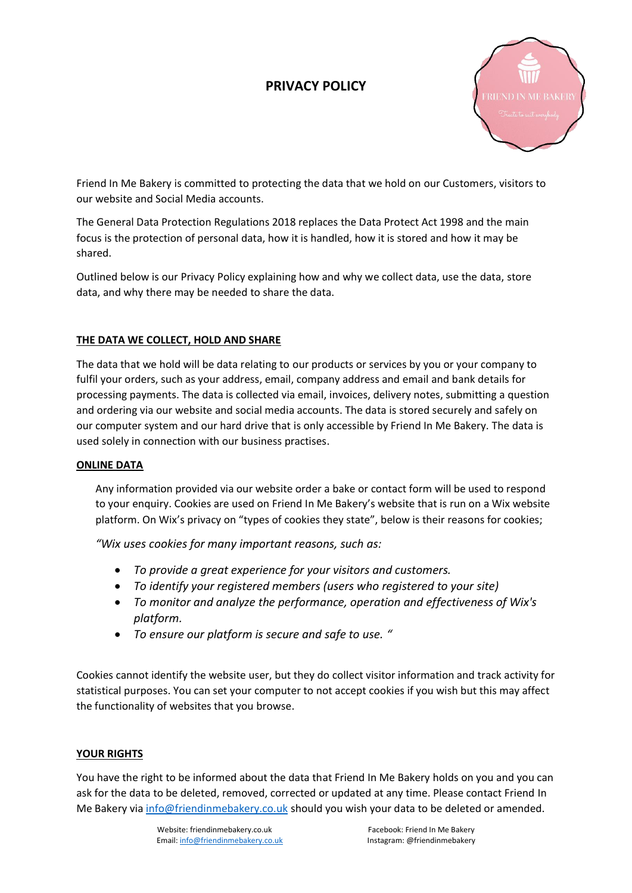# **PRIVACY POLICY**



Friend In Me Bakery is committed to protecting the data that we hold on our Customers, visitors to our website and Social Media accounts.

The General Data Protection Regulations 2018 replaces the Data Protect Act 1998 and the main focus is the protection of personal data, how it is handled, how it is stored and how it may be shared.

Outlined below is our Privacy Policy explaining how and why we collect data, use the data, store data, and why there may be needed to share the data.

### **THE DATA WE COLLECT, HOLD AND SHARE**

The data that we hold will be data relating to our products or services by you or your company to fulfil your orders, such as your address, email, company address and email and bank details for processing payments. The data is collected via email, invoices, delivery notes, submitting a question and ordering via our website and social media accounts. The data is stored securely and safely on our computer system and our hard drive that is only accessible by Friend In Me Bakery. The data is used solely in connection with our business practises.

#### **ONLINE DATA**

Any information provided via our website order a bake or contact form will be used to respond to your enquiry. Cookies are used on Friend In Me Bakery's website that is run on a Wix website platform. On Wix's privacy on "types of cookies they state", below is their reasons for cookies;

*"Wix uses cookies for many important reasons, such as:*

- *To provide a great experience for your visitors and customers.*
- *To identify your registered members (users who registered to your site)*
- *To monitor and analyze the performance, operation and effectiveness of Wix's platform.*
- *To ensure our platform is secure and safe to use. "*

Cookies cannot identify the website user, but they do collect visitor information and track activity for statistical purposes. You can set your computer to not accept cookies if you wish but this may affect the functionality of websites that you browse.

## **YOUR RIGHTS**

You have the right to be informed about the data that Friend In Me Bakery holds on you and you can ask for the data to be deleted, removed, corrected or updated at any time. Please contact Friend In Me Bakery vi[a info@friendinmebakery.co.uk](mailto:info@friendinmebakery.co.uk) should you wish your data to be deleted or amended.